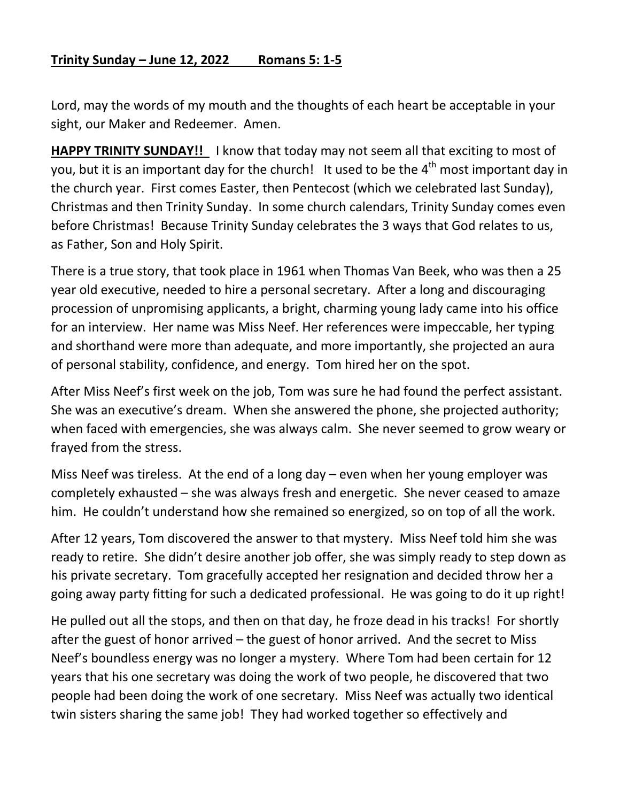## **Trinity Sunday – June 12, 2022 Romans 5: 1-5**

Lord, may the words of my mouth and the thoughts of each heart be acceptable in your sight, our Maker and Redeemer. Amen.

**HAPPY TRINITY SUNDAY!!** I know that today may not seem all that exciting to most of you, but it is an important day for the church! It used to be the  $4<sup>th</sup>$  most important day in the church year. First comes Easter, then Pentecost (which we celebrated last Sunday), Christmas and then Trinity Sunday. In some church calendars, Trinity Sunday comes even before Christmas! Because Trinity Sunday celebrates the 3 ways that God relates to us, as Father, Son and Holy Spirit.

There is a true story, that took place in 1961 when Thomas Van Beek, who was then a 25 year old executive, needed to hire a personal secretary. After a long and discouraging procession of unpromising applicants, a bright, charming young lady came into his office for an interview. Her name was Miss Neef. Her references were impeccable, her typing and shorthand were more than adequate, and more importantly, she projected an aura of personal stability, confidence, and energy. Tom hired her on the spot.

After Miss Neef's first week on the job, Tom was sure he had found the perfect assistant. She was an executive's dream. When she answered the phone, she projected authority; when faced with emergencies, she was always calm. She never seemed to grow weary or frayed from the stress.

Miss Neef was tireless. At the end of a long day – even when her young employer was completely exhausted – she was always fresh and energetic. She never ceased to amaze him. He couldn't understand how she remained so energized, so on top of all the work.

After 12 years, Tom discovered the answer to that mystery. Miss Neef told him she was ready to retire. She didn't desire another job offer, she was simply ready to step down as his private secretary. Tom gracefully accepted her resignation and decided throw her a going away party fitting for such a dedicated professional. He was going to do it up right!

He pulled out all the stops, and then on that day, he froze dead in his tracks! For shortly after the guest of honor arrived – the guest of honor arrived. And the secret to Miss Neef's boundless energy was no longer a mystery. Where Tom had been certain for 12 years that his one secretary was doing the work of two people, he discovered that two people had been doing the work of one secretary. Miss Neef was actually two identical twin sisters sharing the same job! They had worked together so effectively and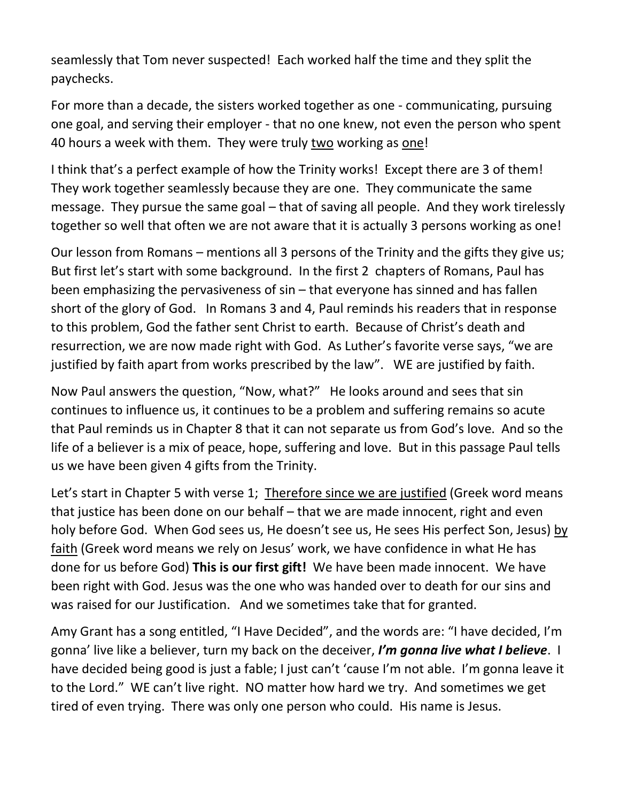seamlessly that Tom never suspected! Each worked half the time and they split the paychecks.

For more than a decade, the sisters worked together as one - communicating, pursuing one goal, and serving their employer - that no one knew, not even the person who spent 40 hours a week with them. They were truly two working as one!

I think that's a perfect example of how the Trinity works! Except there are 3 of them! They work together seamlessly because they are one. They communicate the same message. They pursue the same goal – that of saving all people. And they work tirelessly together so well that often we are not aware that it is actually 3 persons working as one!

Our lesson from Romans – mentions all 3 persons of the Trinity and the gifts they give us; But first let's start with some background. In the first 2 chapters of Romans, Paul has been emphasizing the pervasiveness of sin – that everyone has sinned and has fallen short of the glory of God. In Romans 3 and 4, Paul reminds his readers that in response to this problem, God the father sent Christ to earth. Because of Christ's death and resurrection, we are now made right with God. As Luther's favorite verse says, "we are justified by faith apart from works prescribed by the law". WE are justified by faith.

Now Paul answers the question, "Now, what?" He looks around and sees that sin continues to influence us, it continues to be a problem and suffering remains so acute that Paul reminds us in Chapter 8 that it can not separate us from God's love. And so the life of a believer is a mix of peace, hope, suffering and love. But in this passage Paul tells us we have been given 4 gifts from the Trinity.

Let's start in Chapter 5 with verse 1; Therefore since we are justified (Greek word means that justice has been done on our behalf – that we are made innocent, right and even holy before God. When God sees us, He doesn't see us, He sees His perfect Son, Jesus) by faith (Greek word means we rely on Jesus' work, we have confidence in what He has done for us before God) **This is our first gift!** We have been made innocent. We have been right with God. Jesus was the one who was handed over to death for our sins and was raised for our Justification. And we sometimes take that for granted.

Amy Grant has a song entitled, "I Have Decided", and the words are: "I have decided, I'm gonna' live like a believer, turn my back on the deceiver, *I'm gonna live what I believe*. I have decided being good is just a fable; I just can't 'cause I'm not able. I'm gonna leave it to the Lord." WE can't live right. NO matter how hard we try. And sometimes we get tired of even trying. There was only one person who could. His name is Jesus.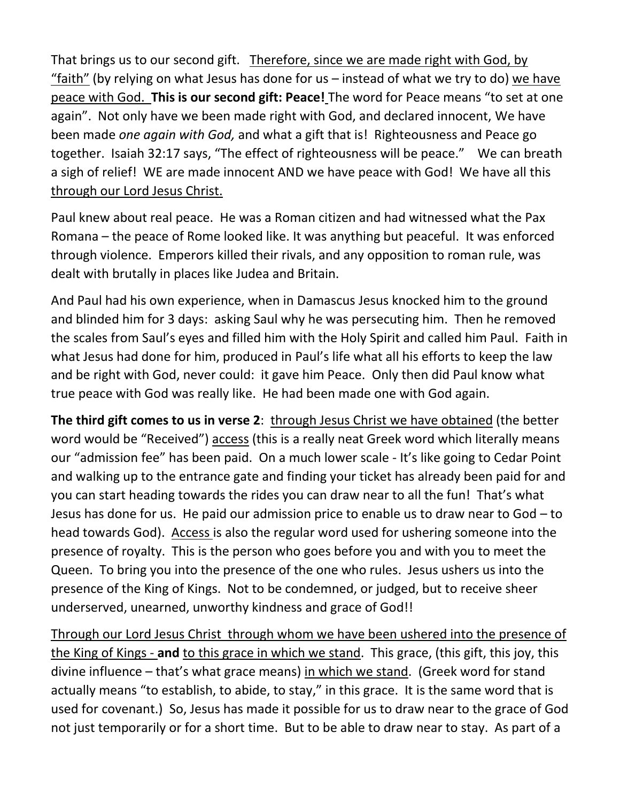That brings us to our second gift. Therefore, since we are made right with God, by "faith" (by relying on what Jesus has done for us – instead of what we try to do) we have peace with God. **This is our second gift: Peace!** The word for Peace means "to set at one again". Not only have we been made right with God, and declared innocent, We have been made *one again with God,* and what a gift that is! Righteousness and Peace go together. Isaiah 32:17 says, "The effect of righteousness will be peace." We can breath a sigh of relief! WE are made innocent AND we have peace with God! We have all this through our Lord Jesus Christ.

Paul knew about real peace. He was a Roman citizen and had witnessed what the Pax Romana – the peace of Rome looked like. It was anything but peaceful. It was enforced through violence. Emperors killed their rivals, and any opposition to roman rule, was dealt with brutally in places like Judea and Britain.

And Paul had his own experience, when in Damascus Jesus knocked him to the ground and blinded him for 3 days: asking Saul why he was persecuting him. Then he removed the scales from Saul's eyes and filled him with the Holy Spirit and called him Paul. Faith in what Jesus had done for him, produced in Paul's life what all his efforts to keep the law and be right with God, never could: it gave him Peace. Only then did Paul know what true peace with God was really like. He had been made one with God again.

**The third gift comes to us in verse 2:** through Jesus Christ we have obtained (the better word would be "Received") access (this is a really neat Greek word which literally means our "admission fee" has been paid. On a much lower scale - It's like going to Cedar Point and walking up to the entrance gate and finding your ticket has already been paid for and you can start heading towards the rides you can draw near to all the fun! That's what Jesus has done for us. He paid our admission price to enable us to draw near to God – to head towards God). Access is also the regular word used for ushering someone into the presence of royalty. This is the person who goes before you and with you to meet the Queen. To bring you into the presence of the one who rules. Jesus ushers us into the presence of the King of Kings. Not to be condemned, or judged, but to receive sheer underserved, unearned, unworthy kindness and grace of God!!

Through our Lord Jesus Christ through whom we have been ushered into the presence of the King of Kings - **and** to this grace in which we stand. This grace, (this gift, this joy, this divine influence – that's what grace means) in which we stand. (Greek word for stand actually means "to establish, to abide, to stay," in this grace. It is the same word that is used for covenant.) So, Jesus has made it possible for us to draw near to the grace of God not just temporarily or for a short time. But to be able to draw near to stay. As part of a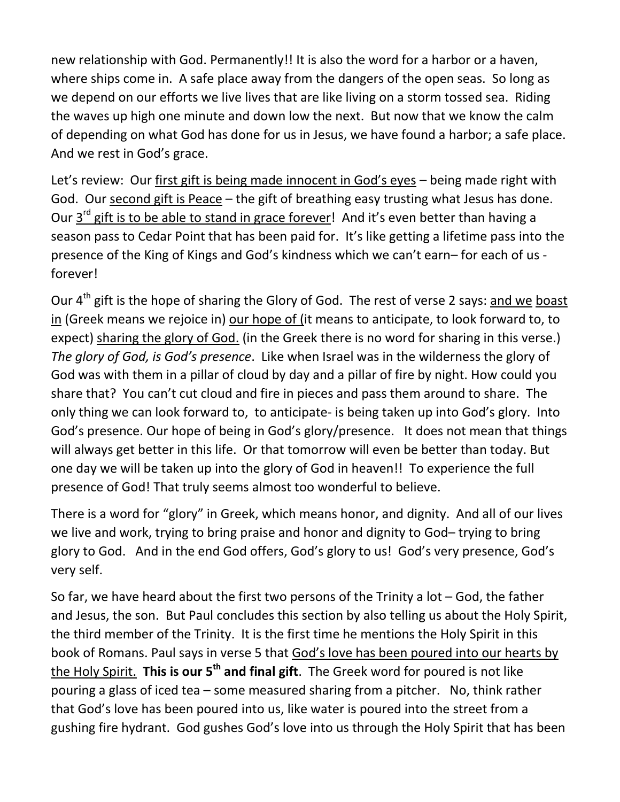new relationship with God. Permanently!! It is also the word for a harbor or a haven, where ships come in. A safe place away from the dangers of the open seas. So long as we depend on our efforts we live lives that are like living on a storm tossed sea. Riding the waves up high one minute and down low the next. But now that we know the calm of depending on what God has done for us in Jesus, we have found a harbor; a safe place. And we rest in God's grace.

Let's review: Our first gift is being made innocent in God's eyes – being made right with God. Our second gift is Peace – the gift of breathing easy trusting what Jesus has done. Our 3<sup>rd</sup> gift is to be able to stand in grace forever! And it's even better than having a season pass to Cedar Point that has been paid for. It's like getting a lifetime pass into the presence of the King of Kings and God's kindness which we can't earn– for each of us forever!

Our 4<sup>th</sup> gift is the hope of sharing the Glory of God. The rest of verse 2 says: and we boast in (Greek means we rejoice in) our hope of (it means to anticipate, to look forward to, to expect) sharing the glory of God. (in the Greek there is no word for sharing in this verse.) *The glory of God, is God's presence*. Like when Israel was in the wilderness the glory of God was with them in a pillar of cloud by day and a pillar of fire by night. How could you share that? You can't cut cloud and fire in pieces and pass them around to share. The only thing we can look forward to, to anticipate- is being taken up into God's glory. Into God's presence. Our hope of being in God's glory/presence. It does not mean that things will always get better in this life. Or that tomorrow will even be better than today. But one day we will be taken up into the glory of God in heaven!! To experience the full presence of God! That truly seems almost too wonderful to believe.

There is a word for "glory" in Greek, which means honor, and dignity. And all of our lives we live and work, trying to bring praise and honor and dignity to God– trying to bring glory to God. And in the end God offers, God's glory to us! God's very presence, God's very self.

So far, we have heard about the first two persons of the Trinity a lot  $-$  God, the father and Jesus, the son. But Paul concludes this section by also telling us about the Holy Spirit, the third member of the Trinity. It is the first time he mentions the Holy Spirit in this book of Romans. Paul says in verse 5 that God's love has been poured into our hearts by the Holy Spirit. **This is our 5th and final gift**. The Greek word for poured is not like pouring a glass of iced tea – some measured sharing from a pitcher. No, think rather that God's love has been poured into us, like water is poured into the street from a gushing fire hydrant. God gushes God's love into us through the Holy Spirit that has been